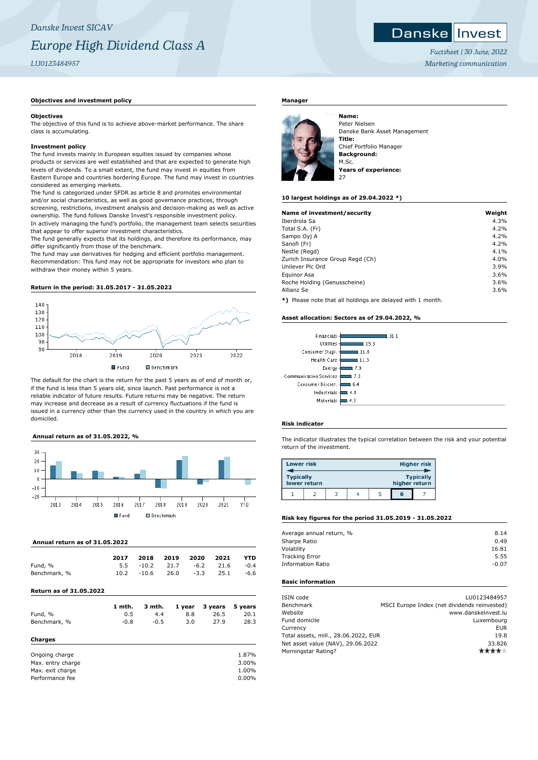## Danske Invest

*Factsheet | 30 June, 2022 Marketing communication*

## **Objectives and investment policy**

#### **Objectives**

The objective of this fund is to achieve above-market performance. The share class is accumulating.

## **Investment policy**

The fund invests mainly in European equities issued by companies whose products or services are well established and that are expected to generate high levels of dividends. To a small extent, the fund may invest in equities from Eastern Europe and countries bordering Europe. The fund may invest in countries considered as emerging markets.

The fund is categorized under SFDR as article 8 and promotes environmental and/or social characteristics, as well as good governance practices, through screening, restrictions, investment analysis and decision-making as well as active ownership. The fund follows Danske Invest's responsible investment policy. In actively managing the fund's portfolio, the management team selects securities that appear to offer superior investment characteristics.

The fund generally expects that its holdings, and therefore its performance, may differ significantly from those of the benchmark.

The fund may use derivatives for hedging and efficient portfolio management. Recommendation: This fund may not be appropriate for investors who plan to withdraw their money within 5 years.

### **Return in the period: 31.05.2017 - 31.05.2022**



The default for the chart is the return for the past 5 years as of end of month or, if the fund is less than 5 years old, since launch. Past performance is not a reliable indicator of future results. Future returns may be negative. The return may increase and decrease as a result of currency fluctuations if the fund is issued in a currency other than the currency used in the country in which you are domiciled.

## **Annual return as of 31.05.2022, %**



### **Annual return as of 31.05.2022**

|              | 2017 | 2018         | 2019 2020 |                | 2021        | <b>YTD</b> |
|--------------|------|--------------|-----------|----------------|-------------|------------|
| Fund, %      |      | $5.5 - 10.2$ |           | 21.7 -6.2 21.6 |             | $-0.4$     |
| Benchmark, % | 10.2 | -10.6        | 26.0      |                | $-3.3$ 25.1 | -6.6       |

## **Return as of 31.05.2022**

|              | 1 mth. | 3 mth. |     | 1 year 3 years 5 years |      |
|--------------|--------|--------|-----|------------------------|------|
| Fund, %      | 0.5    | 4.4    | 8.8 | 26.5                   | 20.1 |
| Benchmark, % | $-0.8$ | $-0.5$ | 3.0 | 27.9                   | 28.3 |
| Charges      |        |        |     |                        |      |

| Ongoing charge    | 1.87%    |
|-------------------|----------|
| Max. entry charge | 3.00%    |
| Max. exit charge  | 1.00%    |
| Performance fee   | $0.00\%$ |

## **Manager**



Peter Nielsen Danske Bank Asset Management **Title:** Chief Portfolio Manager **Background:** M.Sc. **Years of experience:**

### **10 largest holdings as of 29.04.2022 \*)**

| Name of investment/security      | Weight |
|----------------------------------|--------|
| Iberdrola Sa                     | 4.3%   |
| Total S.A. (Fr)                  | 4.2%   |
| Sampo Oyj A                      | 4.2%   |
| Sanofi (Fr)                      | 4.2%   |
| Nestle (Regd)                    | 4.1%   |
| Zurich Insurance Group Regd (Ch) | 4.0%   |
| Unilever Plc Ord                 | 3.9%   |
| Equinor Asa                      | 3.6%   |
| Roche Holding (Genusscheine)     | 3.6%   |
| Allianz Se                       | 3.6%   |

**\*)** Please note that all holdings are delayed with 1 month.

### **Asset allocation: Sectors as of 29.04.2022, %**

| Financials            | 31 1  |
|-----------------------|-------|
| Utilities             | 15.3  |
| Consumer Stapl.       | 11.6  |
| <b>Health Care</b>    | 11.3  |
| Energy                | 7.9   |
| ommunication Services | l 7.3 |
| Consumer Discret.     | 6.4   |
| Industrials           | 4.8   |
| Materials             |       |

## **Risk indicator**

 $\epsilon$ 

The indicator illustrates the typical correlation between the risk and your potential return of the investment.

| <b>Lower risk</b> |              |  |               | <b>Higher risk</b> |
|-------------------|--------------|--|---------------|--------------------|
| <b>Typically</b>  | lower return |  | higher return | <b>Typically</b>   |
|                   |              |  | ត             |                    |

## **Risk key figures for the period 31.05.2019 - 31.05.2022**

| Average annual return, % | 8.14    |
|--------------------------|---------|
| Sharpe Ratio             | 0.49    |
| Volatility               | 16.81   |
| <b>Tracking Error</b>    | 5.55    |
| <b>Information Ratio</b> | $-0.07$ |
|                          |         |

## **Basic information**

| LU0123484957                                 |
|----------------------------------------------|
| MSCI Europe Index (net dividends reinvested) |
| www.danskeinvest.lu                          |
| Luxembourg                                   |
| <b>EUR</b>                                   |
| Total assets, mill., 28.06.2022, EUR<br>19.8 |
| 33.826                                       |
|                                              |
|                                              |